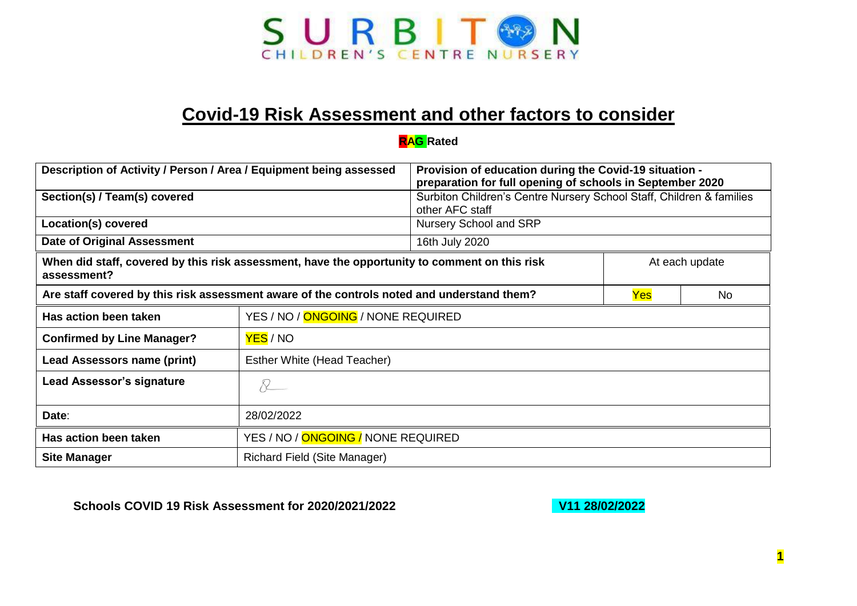

## **Covid-19 Risk Assessment and other factors to consider**

## **RAG Rated**

| Description of Activity / Person / Area / Equipment being assessed                                           |                                    | Provision of education during the Covid-19 situation -<br>preparation for full opening of schools in September 2020 |                |  |
|--------------------------------------------------------------------------------------------------------------|------------------------------------|---------------------------------------------------------------------------------------------------------------------|----------------|--|
| Section(s) / Team(s) covered                                                                                 |                                    | Surbiton Children's Centre Nursery School Staff, Children & families<br>other AFC staff                             |                |  |
| Location(s) covered                                                                                          |                                    | Nursery School and SRP                                                                                              |                |  |
| <b>Date of Original Assessment</b>                                                                           |                                    | 16th July 2020                                                                                                      |                |  |
| When did staff, covered by this risk assessment, have the opportunity to comment on this risk<br>assessment? |                                    |                                                                                                                     | At each update |  |
| Are staff covered by this risk assessment aware of the controls noted and understand them?                   |                                    | Yes                                                                                                                 | No             |  |
| Has action been taken                                                                                        | YES / NO / ONGOING / NONE REQUIRED |                                                                                                                     |                |  |
| <b>Confirmed by Line Manager?</b>                                                                            | YES / NO                           |                                                                                                                     |                |  |
| Lead Assessors name (print)                                                                                  | Esther White (Head Teacher)        |                                                                                                                     |                |  |
| <b>Lead Assessor's signature</b>                                                                             | $\chi_{-}$                         |                                                                                                                     |                |  |
| Date:                                                                                                        | 28/02/2022                         |                                                                                                                     |                |  |
| Has action been taken                                                                                        | YES / NO / ONGOING / NONE REQUIRED |                                                                                                                     |                |  |
| <b>Site Manager</b>                                                                                          | Richard Field (Site Manager)       |                                                                                                                     |                |  |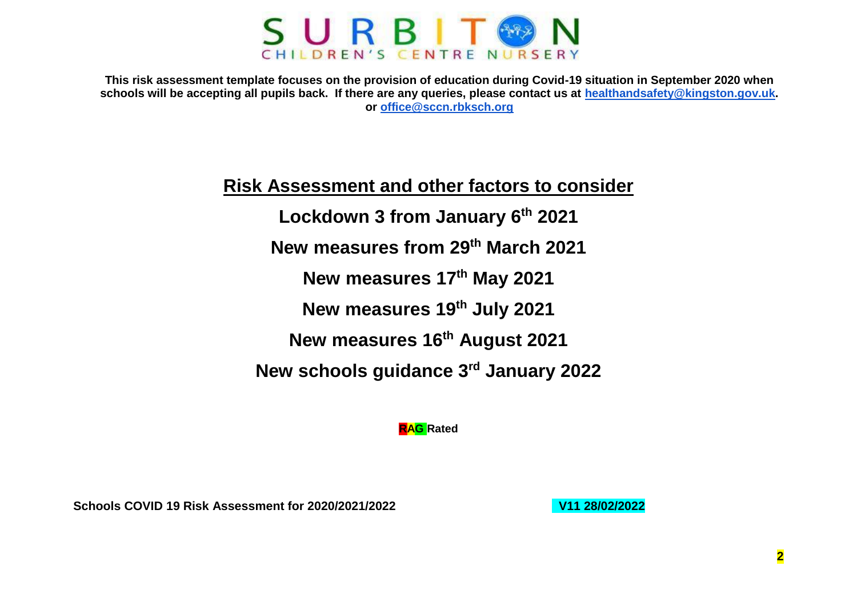

**This risk assessment template focuses on the provision of education during Covid-19 situation in September 2020 when schools will be accepting all pupils back. If there are any queries, please contact us at [healthandsafety@kingston.gov.uk.](mailto:healthandsafety@kingston.gov.uk) or [office@sccn.rbksch.org](mailto:office@sccn.rbksch.org)**

## **Risk Assessment and other factors to consider**

**Lockdown 3 from January 6th 2021 New measures from 29th March 2021 New measures 17th May 2021 New measures 19th July 2021 New measures 16th August 2021 New schools guidance 3rd January 2022**

**RAG Rated**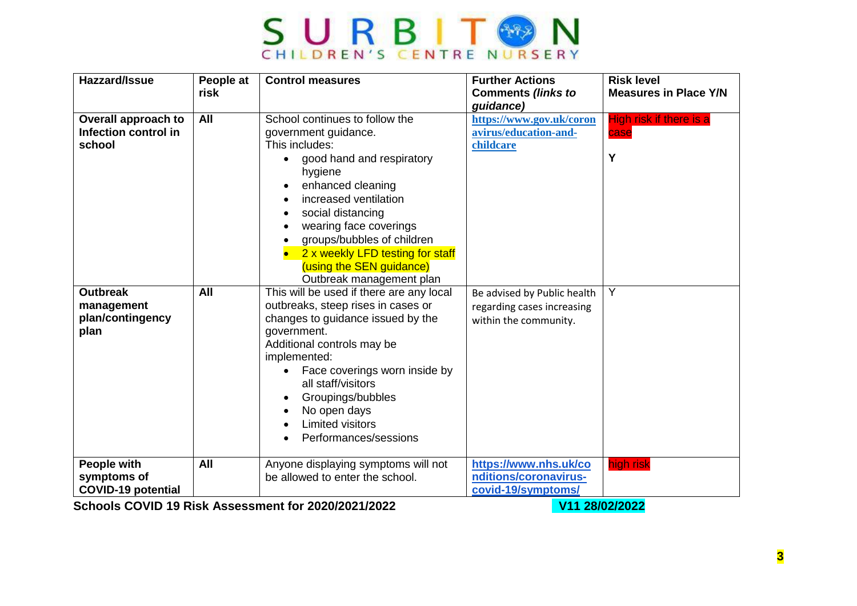

| Hazzard/Issue                                                  | People at<br>risk | <b>Control measures</b>                                                                                                                                                                                                                                                                                                                       | <b>Further Actions</b><br><b>Comments (links to</b><br>guidance)                   | <b>Risk level</b><br><b>Measures in Place Y/N</b> |
|----------------------------------------------------------------|-------------------|-----------------------------------------------------------------------------------------------------------------------------------------------------------------------------------------------------------------------------------------------------------------------------------------------------------------------------------------------|------------------------------------------------------------------------------------|---------------------------------------------------|
| Overall approach to<br>Infection control in<br>school          | All               | School continues to follow the<br>government guidance.<br>This includes:<br>good hand and respiratory<br>hygiene<br>enhanced cleaning<br>increased ventilation<br>social distancing<br>wearing face coverings<br>groups/bubbles of children<br>2 x weekly LFD testing for staff<br>(using the SEN guidance)<br>Outbreak management plan       | https://www.gov.uk/coron<br>avirus/education-and-<br>childcare                     | High risk if there is a<br>case<br>Y              |
| <b>Outbreak</b><br>management<br>plan/contingency<br>plan      | All               | This will be used if there are any local<br>outbreaks, steep rises in cases or<br>changes to guidance issued by the<br>government.<br>Additional controls may be<br>implemented:<br>Face coverings worn inside by<br>$\bullet$<br>all staff/visitors<br>Groupings/bubbles<br>No open days<br><b>Limited visitors</b><br>Performances/sessions | Be advised by Public health<br>regarding cases increasing<br>within the community. | Y                                                 |
| <b>People with</b><br>symptoms of<br><b>COVID-19 potential</b> | All               | Anyone displaying symptoms will not<br>be allowed to enter the school.                                                                                                                                                                                                                                                                        | https://www.nhs.uk/co<br>nditions/coronavirus-<br>covid-19/symptoms/               | high risk                                         |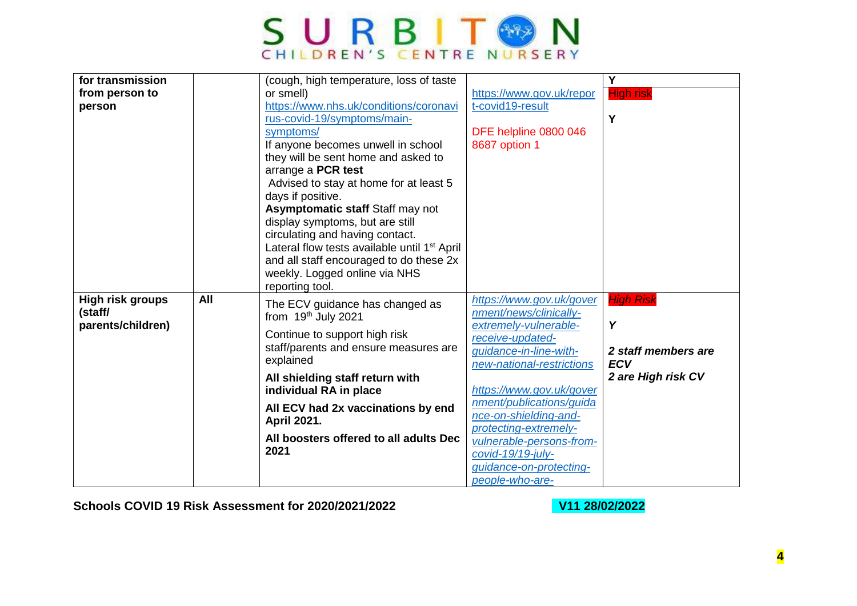

| for transmission        |     | (cough, high temperature, loss of taste                                |                                                | $\overline{\mathsf{Y}}$ |
|-------------------------|-----|------------------------------------------------------------------------|------------------------------------------------|-------------------------|
| from person to          |     | or smell)                                                              | https://www.gov.uk/repor                       | <b>High risk</b>        |
| person                  |     | https://www.nhs.uk/conditions/coronavi                                 | t-covid19-result                               |                         |
|                         |     | rus-covid-19/symptoms/main-                                            |                                                | Y                       |
|                         |     | symptoms/                                                              | DFE helpline 0800 046                          |                         |
|                         |     | If anyone becomes unwell in school                                     | 8687 option 1                                  |                         |
|                         |     | they will be sent home and asked to                                    |                                                |                         |
|                         |     | arrange a PCR test                                                     |                                                |                         |
|                         |     | Advised to stay at home for at least 5                                 |                                                |                         |
|                         |     | days if positive.                                                      |                                                |                         |
|                         |     | Asymptomatic staff Staff may not                                       |                                                |                         |
|                         |     | display symptoms, but are still                                        |                                                |                         |
|                         |     | circulating and having contact.                                        |                                                |                         |
|                         |     | Lateral flow tests available until 1 <sup>st</sup> April               |                                                |                         |
|                         |     | and all staff encouraged to do these 2x                                |                                                |                         |
|                         |     | weekly. Logged online via NHS                                          |                                                |                         |
|                         |     | reporting tool.                                                        |                                                |                         |
| <b>High risk groups</b> | All | The ECV guidance has changed as                                        | https://www.gov.uk/gover                       | <b>High Risk</b>        |
| (staff/                 |     | from 19th July 2021                                                    | nment/news/clinically-                         |                         |
| parents/children)       |     |                                                                        | extremely-vulnerable-                          | Y                       |
|                         |     | Continue to support high risk<br>staff/parents and ensure measures are | receive-updated-                               |                         |
|                         |     | explained                                                              | quidance-in-line-with-                         | 2 staff members are     |
|                         |     |                                                                        | new-national-restrictions                      | <b>ECV</b>              |
|                         |     | All shielding staff return with                                        |                                                | 2 are High risk CV      |
|                         |     | individual RA in place                                                 | https://www.gov.uk/gover                       |                         |
|                         |     | All ECV had 2x vaccinations by end                                     | nment/publications/guida                       |                         |
|                         |     | April 2021.                                                            | nce-on-shielding-and-<br>protecting-extremely- |                         |
|                         |     | All boosters offered to all adults Dec                                 | vulnerable-persons-from-                       |                         |
|                         |     | 2021                                                                   | covid-19/19-july-                              |                         |
|                         |     |                                                                        | guidance-on-protecting-                        |                         |
|                         |     |                                                                        | people-who-are-                                |                         |
|                         |     |                                                                        |                                                |                         |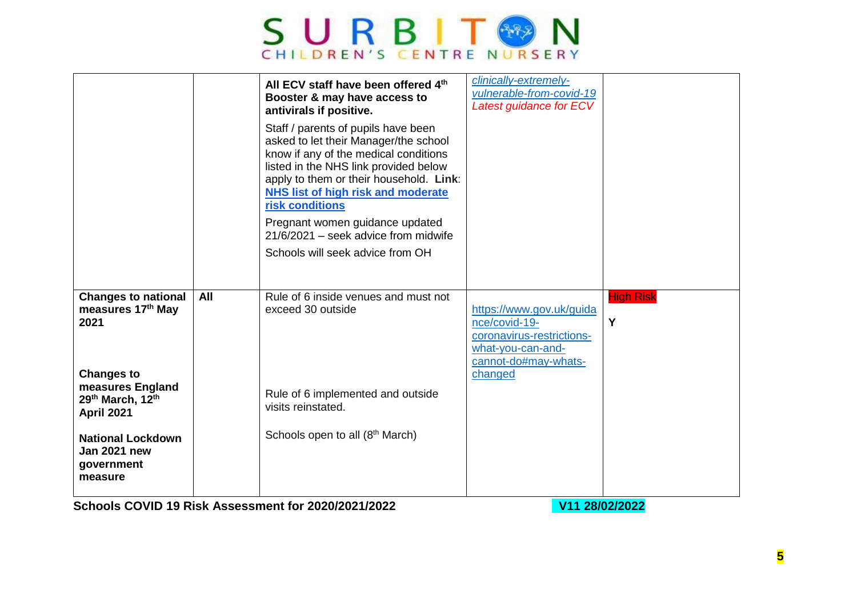

|                                                                          |     | All ECV staff have been offered 4th<br>Booster & may have access to<br>antivirals if positive.<br>Staff / parents of pupils have been<br>asked to let their Manager/the school<br>know if any of the medical conditions<br>listed in the NHS link provided below<br>apply to them or their household. Link:<br><b>NHS list of high risk and moderate</b><br>risk conditions<br>Pregnant women guidance updated | clinically-extremely-<br>vulnerable-from-covid-19<br>Latest guidance for ECV                                        |                       |
|--------------------------------------------------------------------------|-----|----------------------------------------------------------------------------------------------------------------------------------------------------------------------------------------------------------------------------------------------------------------------------------------------------------------------------------------------------------------------------------------------------------------|---------------------------------------------------------------------------------------------------------------------|-----------------------|
|                                                                          |     | $21/6/2021$ – seek advice from midwife<br>Schools will seek advice from OH                                                                                                                                                                                                                                                                                                                                     |                                                                                                                     |                       |
| <b>Changes to national</b><br>measures 17th May<br>2021                  | All | Rule of 6 inside venues and must not<br>exceed 30 outside                                                                                                                                                                                                                                                                                                                                                      | https://www.gov.uk/guida<br>nce/covid-19-<br>coronavirus-restrictions-<br>what-you-can-and-<br>cannot-do#may-whats- | <b>High Risk</b><br>Y |
| <b>Changes to</b><br>measures England<br>29th March, 12th<br>April 2021  |     | Rule of 6 implemented and outside<br>visits reinstated.                                                                                                                                                                                                                                                                                                                                                        | changed                                                                                                             |                       |
| <b>National Lockdown</b><br><b>Jan 2021 new</b><br>government<br>measure |     | Schools open to all (8 <sup>th</sup> March)                                                                                                                                                                                                                                                                                                                                                                    |                                                                                                                     |                       |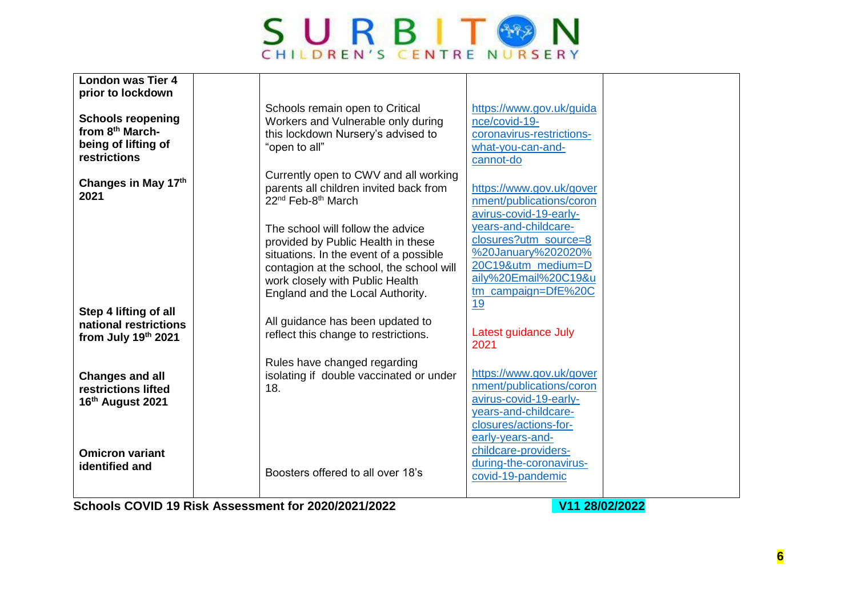

| <b>London was Tier 4</b><br>prior to lockdown                                                  |                                                                                                                                                                                                                                      |                                                                                                                                                     |  |
|------------------------------------------------------------------------------------------------|--------------------------------------------------------------------------------------------------------------------------------------------------------------------------------------------------------------------------------------|-----------------------------------------------------------------------------------------------------------------------------------------------------|--|
| <b>Schools reopening</b><br>from 8 <sup>th</sup> March-<br>being of lifting of<br>restrictions | Schools remain open to Critical<br>Workers and Vulnerable only during<br>this lockdown Nursery's advised to<br>"open to all"                                                                                                         | https://www.gov.uk/guida<br>nce/covid-19-<br>coronavirus-restrictions-<br>what-you-can-and-<br>cannot-do                                            |  |
| Changes in May 17th<br>2021                                                                    | Currently open to CWV and all working<br>parents all children invited back from<br>22 <sup>nd</sup> Feb-8 <sup>th</sup> March                                                                                                        | https://www.gov.uk/gover<br>nment/publications/coron<br>avirus-covid-19-early-                                                                      |  |
|                                                                                                | The school will follow the advice<br>provided by Public Health in these<br>situations. In the event of a possible<br>contagion at the school, the school will<br>work closely with Public Health<br>England and the Local Authority. | years-and-childcare-<br>closures?utm_source=8<br>%20January%202020%<br>20C19&utm medium=D<br>aily%20Email%20C19&u<br>tm_campaign=DfE%20C<br>19      |  |
| Step 4 lifting of all<br>national restrictions<br>from July 19th 2021                          | All guidance has been updated to<br>reflect this change to restrictions.                                                                                                                                                             | Latest guidance July<br>2021                                                                                                                        |  |
| <b>Changes and all</b><br>restrictions lifted<br>16th August 2021                              | Rules have changed regarding<br>isolating if double vaccinated or under<br>18.                                                                                                                                                       | https://www.gov.uk/gover<br>nment/publications/coron<br>avirus-covid-19-early-<br>years-and-childcare-<br>closures/actions-for-<br>early-years-and- |  |
| <b>Omicron variant</b><br>identified and                                                       | Boosters offered to all over 18's                                                                                                                                                                                                    | childcare-providers-<br>during-the-coronavirus-<br>covid-19-pandemic                                                                                |  |
|                                                                                                | Cabaala COVID 10 Diale Association 2020/2021/2022                                                                                                                                                                                    | $\overline{M}$ and $\overline{M}$                                                                                                                   |  |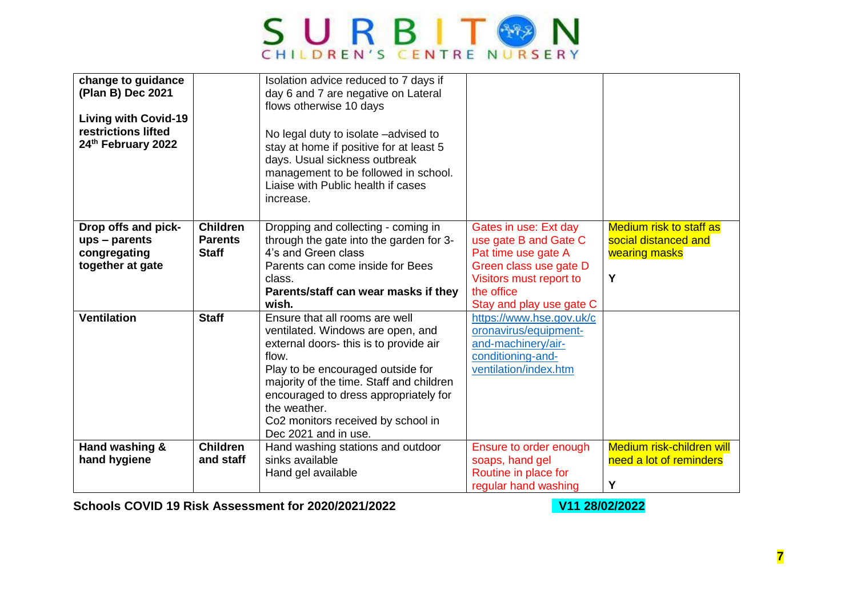

| change to guidance<br>(Plan B) Dec 2021<br><b>Living with Covid-19</b><br>restrictions lifted<br>24th February 2022 |                                   | Isolation advice reduced to 7 days if<br>day 6 and 7 are negative on Lateral<br>flows otherwise 10 days<br>No legal duty to isolate -advised to<br>stay at home if positive for at least 5<br>days. Usual sickness outbreak<br>management to be followed in school. |                                                |                                                        |
|---------------------------------------------------------------------------------------------------------------------|-----------------------------------|---------------------------------------------------------------------------------------------------------------------------------------------------------------------------------------------------------------------------------------------------------------------|------------------------------------------------|--------------------------------------------------------|
|                                                                                                                     |                                   | Liaise with Public health if cases<br>increase.                                                                                                                                                                                                                     |                                                |                                                        |
| Drop offs and pick-<br>ups - parents                                                                                | <b>Children</b><br><b>Parents</b> | Dropping and collecting - coming in<br>through the gate into the garden for 3-                                                                                                                                                                                      | Gates in use: Ext day<br>use gate B and Gate C | <b>Medium risk to staff as</b><br>social distanced and |
| congregating                                                                                                        | <b>Staff</b>                      | 4's and Green class                                                                                                                                                                                                                                                 | Pat time use gate A                            | wearing masks                                          |
| together at gate                                                                                                    |                                   | Parents can come inside for Bees                                                                                                                                                                                                                                    | Green class use gate D                         |                                                        |
|                                                                                                                     |                                   | class.                                                                                                                                                                                                                                                              | Visitors must report to                        | Y                                                      |
|                                                                                                                     |                                   | Parents/staff can wear masks if they                                                                                                                                                                                                                                | the office                                     |                                                        |
|                                                                                                                     |                                   | wish.                                                                                                                                                                                                                                                               | Stay and play use gate C                       |                                                        |
| <b>Ventilation</b>                                                                                                  | <b>Staff</b>                      | Ensure that all rooms are well                                                                                                                                                                                                                                      | https://www.hse.gov.uk/c                       |                                                        |
|                                                                                                                     |                                   | ventilated. Windows are open, and                                                                                                                                                                                                                                   | oronavirus/equipment-                          |                                                        |
|                                                                                                                     |                                   | external doors- this is to provide air                                                                                                                                                                                                                              | and-machinery/air-                             |                                                        |
|                                                                                                                     |                                   | flow.                                                                                                                                                                                                                                                               | conditioning-and-                              |                                                        |
|                                                                                                                     |                                   | Play to be encouraged outside for                                                                                                                                                                                                                                   | ventilation/index.htm                          |                                                        |
|                                                                                                                     |                                   | majority of the time. Staff and children                                                                                                                                                                                                                            |                                                |                                                        |
|                                                                                                                     |                                   | encouraged to dress appropriately for<br>the weather.                                                                                                                                                                                                               |                                                |                                                        |
|                                                                                                                     |                                   | Co2 monitors received by school in                                                                                                                                                                                                                                  |                                                |                                                        |
|                                                                                                                     |                                   | Dec 2021 and in use.                                                                                                                                                                                                                                                |                                                |                                                        |
| Hand washing &                                                                                                      | <b>Children</b>                   | Hand washing stations and outdoor                                                                                                                                                                                                                                   | Ensure to order enough                         | Medium risk-children will                              |
| hand hygiene                                                                                                        | and staff                         | sinks available                                                                                                                                                                                                                                                     | soaps, hand gel                                | need a lot of reminders                                |
|                                                                                                                     |                                   | Hand gel available                                                                                                                                                                                                                                                  | Routine in place for                           |                                                        |
|                                                                                                                     |                                   |                                                                                                                                                                                                                                                                     | regular hand washing                           | Υ                                                      |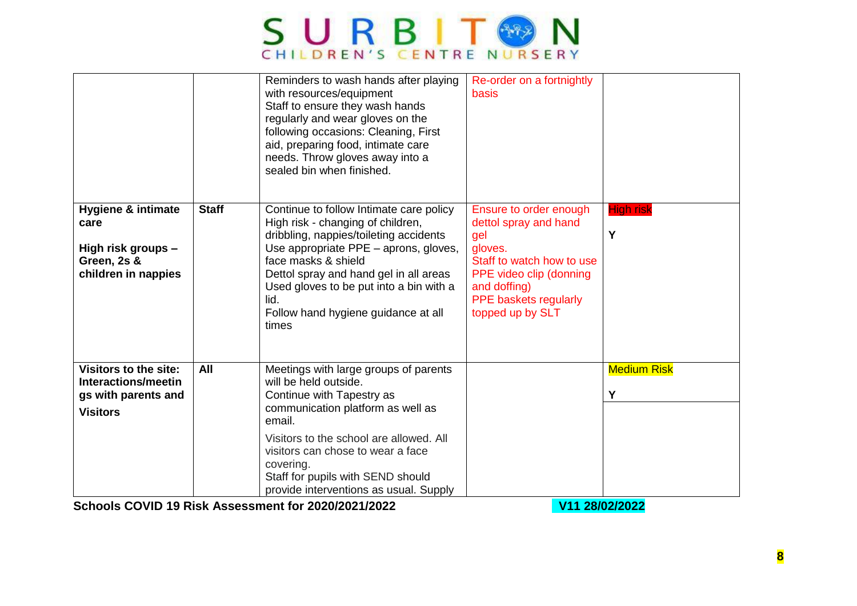

|                                                                                                   |              | Reminders to wash hands after playing<br>with resources/equipment<br>Staff to ensure they wash hands<br>regularly and wear gloves on the<br>following occasions: Cleaning, First<br>aid, preparing food, intimate care<br>needs. Throw gloves away into a<br>sealed bin when finished.                                              | Re-order on a fortnightly<br>basis                                                                                                                                                            |                         |
|---------------------------------------------------------------------------------------------------|--------------|-------------------------------------------------------------------------------------------------------------------------------------------------------------------------------------------------------------------------------------------------------------------------------------------------------------------------------------|-----------------------------------------------------------------------------------------------------------------------------------------------------------------------------------------------|-------------------------|
| <b>Hygiene &amp; intimate</b><br>care<br>High risk groups -<br>Green, 2s &<br>children in nappies | <b>Staff</b> | Continue to follow Intimate care policy<br>High risk - changing of children,<br>dribbling, nappies/toileting accidents<br>Use appropriate PPE - aprons, gloves,<br>face masks & shield<br>Dettol spray and hand gel in all areas<br>Used gloves to be put into a bin with a<br>lid.<br>Follow hand hygiene guidance at all<br>times | Ensure to order enough<br>dettol spray and hand<br>gel<br>gloves.<br>Staff to watch how to use<br>PPE video clip (donning<br>and doffing)<br><b>PPE baskets regularly</b><br>topped up by SLT | <b>High risk</b><br>Υ   |
| <b>Visitors to the site:</b><br>Interactions/meetin<br>gs with parents and<br><b>Visitors</b>     | All          | Meetings with large groups of parents<br>will be held outside.<br>Continue with Tapestry as<br>communication platform as well as<br>email.<br>Visitors to the school are allowed. All<br>visitors can chose to wear a face<br>covering.<br>Staff for pupils with SEND should<br>provide interventions as usual. Supply              |                                                                                                                                                                                               | <b>Medium Risk</b><br>Y |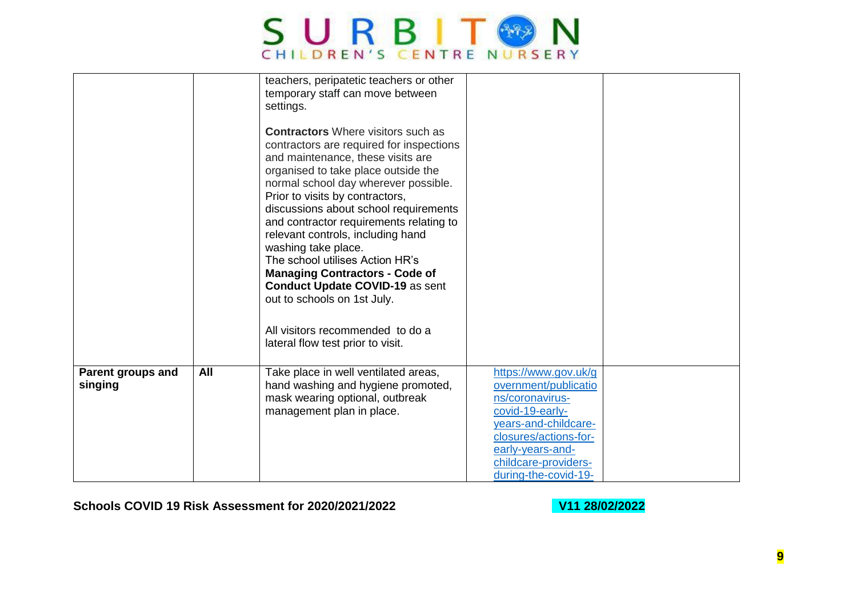

|                                     |     | teachers, peripatetic teachers or other<br>temporary staff can move between<br>settings.<br><b>Contractors</b> Where visitors such as<br>contractors are required for inspections<br>and maintenance, these visits are<br>organised to take place outside the<br>normal school day wherever possible.<br>Prior to visits by contractors,<br>discussions about school requirements<br>and contractor requirements relating to<br>relevant controls, including hand<br>washing take place.<br>The school utilises Action HR's<br><b>Managing Contractors - Code of</b><br><b>Conduct Update COVID-19 as sent</b><br>out to schools on 1st July.<br>All visitors recommended to do a<br>lateral flow test prior to visit. |                                                                                                                                                                                                         |  |
|-------------------------------------|-----|------------------------------------------------------------------------------------------------------------------------------------------------------------------------------------------------------------------------------------------------------------------------------------------------------------------------------------------------------------------------------------------------------------------------------------------------------------------------------------------------------------------------------------------------------------------------------------------------------------------------------------------------------------------------------------------------------------------------|---------------------------------------------------------------------------------------------------------------------------------------------------------------------------------------------------------|--|
| <b>Parent groups and</b><br>singing | All | Take place in well ventilated areas,<br>hand washing and hygiene promoted,<br>mask wearing optional, outbreak<br>management plan in place.                                                                                                                                                                                                                                                                                                                                                                                                                                                                                                                                                                             | https://www.gov.uk/g<br>overnment/publicatio<br>ns/coronavirus-<br>covid-19-early-<br>years-and-childcare-<br>closures/actions-for-<br>early-years-and-<br>childcare-providers-<br>during-the-covid-19- |  |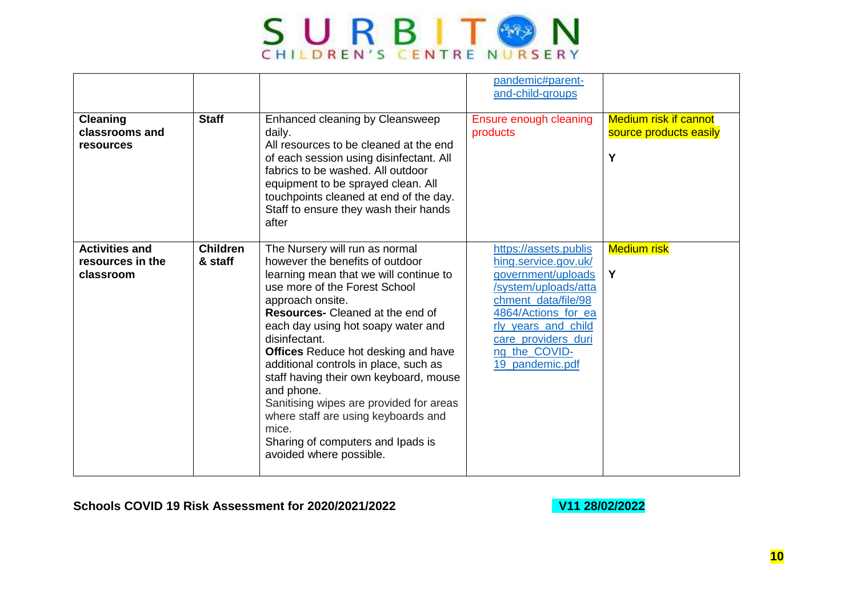

|                                                        |                            |                                                                                                                                                                                                                                                                                                                                                                                                                                                                                                                                                                              | pandemic#parent-<br>and-child-groups                                                                                                                                                                                        |                                                             |
|--------------------------------------------------------|----------------------------|------------------------------------------------------------------------------------------------------------------------------------------------------------------------------------------------------------------------------------------------------------------------------------------------------------------------------------------------------------------------------------------------------------------------------------------------------------------------------------------------------------------------------------------------------------------------------|-----------------------------------------------------------------------------------------------------------------------------------------------------------------------------------------------------------------------------|-------------------------------------------------------------|
| <b>Cleaning</b><br>classrooms and<br><b>resources</b>  | <b>Staff</b>               | Enhanced cleaning by Cleansweep<br>daily.<br>All resources to be cleaned at the end<br>of each session using disinfectant. All<br>fabrics to be washed. All outdoor<br>equipment to be sprayed clean. All<br>touchpoints cleaned at end of the day.<br>Staff to ensure they wash their hands<br>after                                                                                                                                                                                                                                                                        | Ensure enough cleaning<br>products                                                                                                                                                                                          | <b>Medium risk if cannot</b><br>source products easily<br>Y |
| <b>Activities and</b><br>resources in the<br>classroom | <b>Children</b><br>& staff | The Nursery will run as normal<br>however the benefits of outdoor<br>learning mean that we will continue to<br>use more of the Forest School<br>approach onsite.<br><b>Resources-</b> Cleaned at the end of<br>each day using hot soapy water and<br>disinfectant.<br><b>Offices</b> Reduce hot desking and have<br>additional controls in place, such as<br>staff having their own keyboard, mouse<br>and phone.<br>Sanitising wipes are provided for areas<br>where staff are using keyboards and<br>mice.<br>Sharing of computers and Ipads is<br>avoided where possible. | https://assets.publis<br>hing.service.gov.uk/<br>government/uploads<br>/system/uploads/atta<br>chment_data/file/98<br>4864/Actions for ea<br>rly years and child<br>care providers duri<br>ng_the_COVID-<br>19 pandemic.pdf | <b>Medium risk</b><br>Y                                     |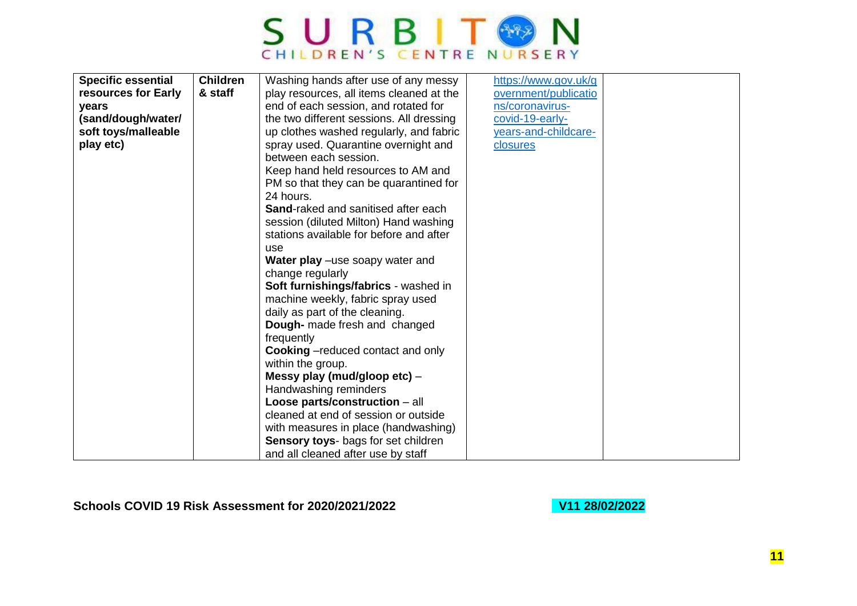

| play resources, all items cleaned at the | overnment/publicatio                                                                                                                                                                                                                                                                                                                                                                                                                                                                                                                                                                                                                                                                                         |                      |
|------------------------------------------|--------------------------------------------------------------------------------------------------------------------------------------------------------------------------------------------------------------------------------------------------------------------------------------------------------------------------------------------------------------------------------------------------------------------------------------------------------------------------------------------------------------------------------------------------------------------------------------------------------------------------------------------------------------------------------------------------------------|----------------------|
| end of each session, and rotated for     | ns/coronavirus-                                                                                                                                                                                                                                                                                                                                                                                                                                                                                                                                                                                                                                                                                              |                      |
| the two different sessions. All dressing | covid-19-early-                                                                                                                                                                                                                                                                                                                                                                                                                                                                                                                                                                                                                                                                                              |                      |
| up clothes washed regularly, and fabric  | years-and-childcare-                                                                                                                                                                                                                                                                                                                                                                                                                                                                                                                                                                                                                                                                                         |                      |
| spray used. Quarantine overnight and     | closures                                                                                                                                                                                                                                                                                                                                                                                                                                                                                                                                                                                                                                                                                                     |                      |
| between each session.                    |                                                                                                                                                                                                                                                                                                                                                                                                                                                                                                                                                                                                                                                                                                              |                      |
|                                          |                                                                                                                                                                                                                                                                                                                                                                                                                                                                                                                                                                                                                                                                                                              |                      |
|                                          |                                                                                                                                                                                                                                                                                                                                                                                                                                                                                                                                                                                                                                                                                                              |                      |
| 24 hours.                                |                                                                                                                                                                                                                                                                                                                                                                                                                                                                                                                                                                                                                                                                                                              |                      |
| Sand-raked and sanitised after each      |                                                                                                                                                                                                                                                                                                                                                                                                                                                                                                                                                                                                                                                                                                              |                      |
|                                          |                                                                                                                                                                                                                                                                                                                                                                                                                                                                                                                                                                                                                                                                                                              |                      |
| stations available for before and after  |                                                                                                                                                                                                                                                                                                                                                                                                                                                                                                                                                                                                                                                                                                              |                      |
| use                                      |                                                                                                                                                                                                                                                                                                                                                                                                                                                                                                                                                                                                                                                                                                              |                      |
|                                          |                                                                                                                                                                                                                                                                                                                                                                                                                                                                                                                                                                                                                                                                                                              |                      |
|                                          |                                                                                                                                                                                                                                                                                                                                                                                                                                                                                                                                                                                                                                                                                                              |                      |
|                                          |                                                                                                                                                                                                                                                                                                                                                                                                                                                                                                                                                                                                                                                                                                              |                      |
|                                          |                                                                                                                                                                                                                                                                                                                                                                                                                                                                                                                                                                                                                                                                                                              |                      |
|                                          |                                                                                                                                                                                                                                                                                                                                                                                                                                                                                                                                                                                                                                                                                                              |                      |
|                                          |                                                                                                                                                                                                                                                                                                                                                                                                                                                                                                                                                                                                                                                                                                              |                      |
|                                          |                                                                                                                                                                                                                                                                                                                                                                                                                                                                                                                                                                                                                                                                                                              |                      |
|                                          |                                                                                                                                                                                                                                                                                                                                                                                                                                                                                                                                                                                                                                                                                                              |                      |
|                                          |                                                                                                                                                                                                                                                                                                                                                                                                                                                                                                                                                                                                                                                                                                              |                      |
|                                          |                                                                                                                                                                                                                                                                                                                                                                                                                                                                                                                                                                                                                                                                                                              |                      |
|                                          |                                                                                                                                                                                                                                                                                                                                                                                                                                                                                                                                                                                                                                                                                                              |                      |
|                                          |                                                                                                                                                                                                                                                                                                                                                                                                                                                                                                                                                                                                                                                                                                              |                      |
|                                          |                                                                                                                                                                                                                                                                                                                                                                                                                                                                                                                                                                                                                                                                                                              |                      |
|                                          |                                                                                                                                                                                                                                                                                                                                                                                                                                                                                                                                                                                                                                                                                                              |                      |
|                                          |                                                                                                                                                                                                                                                                                                                                                                                                                                                                                                                                                                                                                                                                                                              |                      |
|                                          |                                                                                                                                                                                                                                                                                                                                                                                                                                                                                                                                                                                                                                                                                                              |                      |
| <b>Children</b><br>& staff               | Washing hands after use of any messy<br>Keep hand held resources to AM and<br>PM so that they can be quarantined for<br>session (diluted Milton) Hand washing<br>Water play –use soapy water and<br>change regularly<br>Soft furnishings/fabrics - washed in<br>machine weekly, fabric spray used<br>daily as part of the cleaning.<br>Dough- made fresh and changed<br>frequently<br><b>Cooking</b> - reduced contact and only<br>within the group.<br>Messy play (mud/gloop etc) -<br>Handwashing reminders<br>Loose parts/construction - all<br>cleaned at end of session or outside<br>with measures in place (handwashing)<br>Sensory toys- bags for set children<br>and all cleaned after use by staff | https://www.gov.uk/g |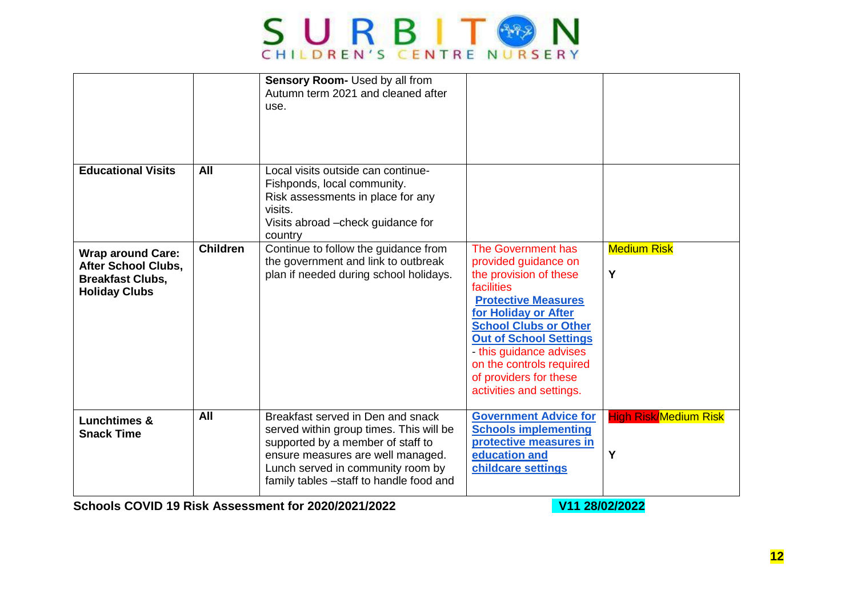

|                                                                                                           |                 | Sensory Room- Used by all from<br>Autumn term 2021 and cleaned after<br>use.                                                                                                                                                           |                                                                                                                                                                                                                                                                                                                        |                                   |
|-----------------------------------------------------------------------------------------------------------|-----------------|----------------------------------------------------------------------------------------------------------------------------------------------------------------------------------------------------------------------------------------|------------------------------------------------------------------------------------------------------------------------------------------------------------------------------------------------------------------------------------------------------------------------------------------------------------------------|-----------------------------------|
| <b>Educational Visits</b>                                                                                 | All             | Local visits outside can continue-<br>Fishponds, local community.<br>Risk assessments in place for any<br>visits.<br>Visits abroad – check guidance for<br>country                                                                     |                                                                                                                                                                                                                                                                                                                        |                                   |
| <b>Wrap around Care:</b><br><b>After School Clubs,</b><br><b>Breakfast Clubs,</b><br><b>Holiday Clubs</b> | <b>Children</b> | Continue to follow the guidance from<br>the government and link to outbreak<br>plan if needed during school holidays.                                                                                                                  | The Government has<br>provided guidance on<br>the provision of these<br>facilities<br><b>Protective Measures</b><br>for Holiday or After<br><b>School Clubs or Other</b><br><b>Out of School Settings</b><br>- this guidance advises<br>on the controls required<br>of providers for these<br>activities and settings. | <b>Medium Risk</b><br>Y           |
| <b>Lunchtimes &amp;</b><br><b>Snack Time</b>                                                              | All             | Breakfast served in Den and snack<br>served within group times. This will be<br>supported by a member of staff to<br>ensure measures are well managed.<br>Lunch served in community room by<br>family tables -staff to handle food and | <b>Government Advice for</b><br><b>Schools implementing</b><br>protective measures in<br>education and<br>childcare settings                                                                                                                                                                                           | <b>High Risk/Medium Risk</b><br>Υ |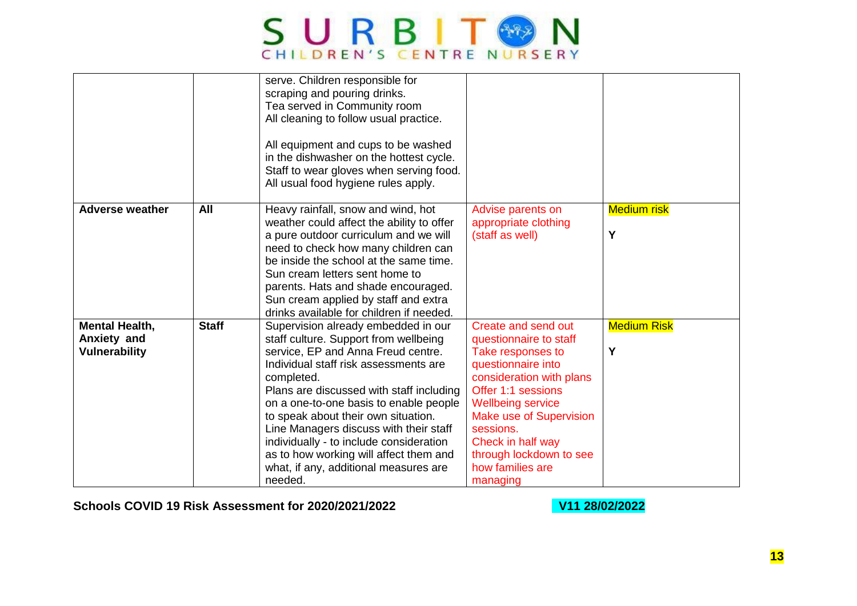

|                                                              |              | serve. Children responsible for<br>scraping and pouring drinks.<br>Tea served in Community room<br>All cleaning to follow usual practice.<br>All equipment and cups to be washed<br>in the dishwasher on the hottest cycle.<br>Staff to wear gloves when serving food.<br>All usual food hygiene rules apply.                                                                                                                                                                             |                                                                                                                                                                                                                                                                                                       |                         |
|--------------------------------------------------------------|--------------|-------------------------------------------------------------------------------------------------------------------------------------------------------------------------------------------------------------------------------------------------------------------------------------------------------------------------------------------------------------------------------------------------------------------------------------------------------------------------------------------|-------------------------------------------------------------------------------------------------------------------------------------------------------------------------------------------------------------------------------------------------------------------------------------------------------|-------------------------|
| <b>Adverse weather</b>                                       | All          | Heavy rainfall, snow and wind, hot<br>weather could affect the ability to offer<br>a pure outdoor curriculum and we will<br>need to check how many children can<br>be inside the school at the same time.<br>Sun cream letters sent home to<br>parents. Hats and shade encouraged.<br>Sun cream applied by staff and extra<br>drinks available for children if needed.                                                                                                                    | Advise parents on<br>appropriate clothing<br>(staff as well)                                                                                                                                                                                                                                          | <b>Medium risk</b><br>Υ |
| <b>Mental Health,</b><br>Anxiety and<br><b>Vulnerability</b> | <b>Staff</b> | Supervision already embedded in our<br>staff culture. Support from wellbeing<br>service, EP and Anna Freud centre.<br>Individual staff risk assessments are<br>completed.<br>Plans are discussed with staff including<br>on a one-to-one basis to enable people<br>to speak about their own situation.<br>Line Managers discuss with their staff<br>individually - to include consideration<br>as to how working will affect them and<br>what, if any, additional measures are<br>needed. | Create and send out<br>questionnaire to staff<br>Take responses to<br>questionnaire into<br>consideration with plans<br>Offer 1:1 sessions<br><b>Wellbeing service</b><br><b>Make use of Supervision</b><br>sessions.<br>Check in half way<br>through lockdown to see<br>how families are<br>managing | <b>Medium Risk</b><br>Υ |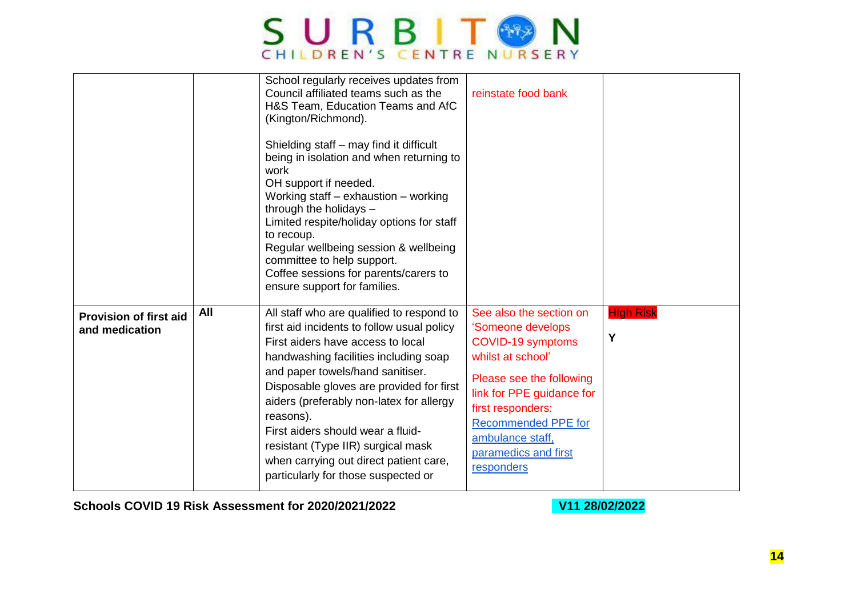

|                                                 |     | School regularly receives updates from<br>Council affiliated teams such as the<br>H&S Team, Education Teams and AfC<br>(Kington/Richmond).<br>Shielding staff – may find it difficult<br>being in isolation and when returning to<br>work<br>OH support if needed.<br>Working staff $-$ exhaustion $-$ working<br>through the holidays -<br>Limited respite/holiday options for staff<br>to recoup.<br>Regular wellbeing session & wellbeing<br>committee to help support.<br>Coffee sessions for parents/carers to<br>ensure support for families. | reinstate food bank                                                                                                                                                                                                                                          |                       |
|-------------------------------------------------|-----|-----------------------------------------------------------------------------------------------------------------------------------------------------------------------------------------------------------------------------------------------------------------------------------------------------------------------------------------------------------------------------------------------------------------------------------------------------------------------------------------------------------------------------------------------------|--------------------------------------------------------------------------------------------------------------------------------------------------------------------------------------------------------------------------------------------------------------|-----------------------|
| <b>Provision of first aid</b><br>and medication | All | All staff who are qualified to respond to<br>first aid incidents to follow usual policy<br>First aiders have access to local<br>handwashing facilities including soap<br>and paper towels/hand sanitiser.<br>Disposable gloves are provided for first<br>aiders (preferably non-latex for allergy<br>reasons).<br>First aiders should wear a fluid-<br>resistant (Type IIR) surgical mask<br>when carrying out direct patient care,<br>particularly for those suspected or                                                                          | See also the section on<br>'Someone develops<br>COVID-19 symptoms<br>whilst at school'<br>Please see the following<br>link for PPE guidance for<br>first responders:<br><b>Recommended PPE for</b><br>ambulance staff,<br>paramedics and first<br>responders | <b>High Risk</b><br>Υ |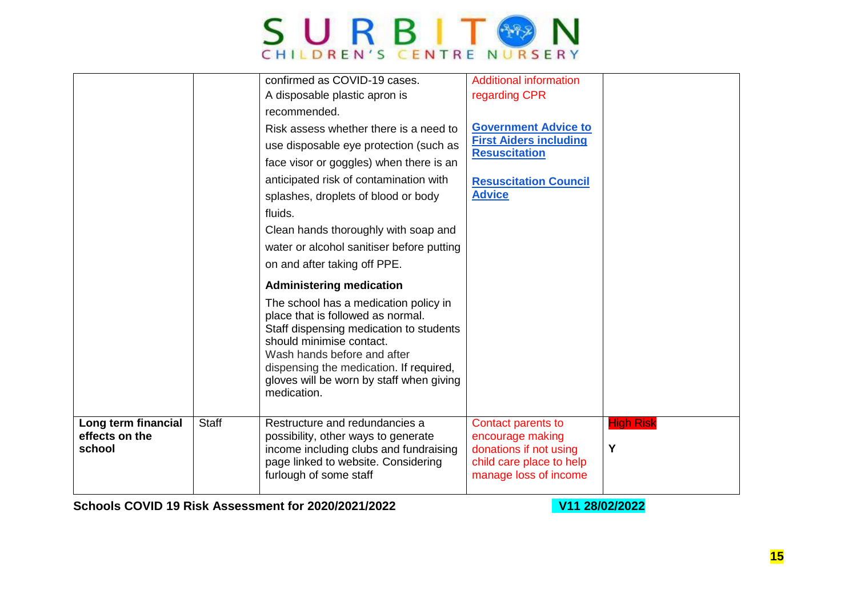

|                                                 |              | confirmed as COVID-19 cases.<br>A disposable plastic apron is<br>recommended.<br>Risk assess whether there is a need to<br>use disposable eye protection (such as<br>face visor or goggles) when there is an<br>anticipated risk of contamination with<br>splashes, droplets of blood or body<br>fluids.<br>Clean hands thoroughly with soap and<br>water or alcohol sanitiser before putting<br>on and after taking off PPE.<br><b>Administering medication</b><br>The school has a medication policy in<br>place that is followed as normal.<br>Staff dispensing medication to students<br>should minimise contact.<br>Wash hands before and after<br>dispensing the medication. If required,<br>gloves will be worn by staff when giving<br>medication. | <b>Additional information</b><br>regarding CPR<br><b>Government Advice to</b><br><b>First Aiders including</b><br><b>Resuscitation</b><br><b>Resuscitation Council</b><br><b>Advice</b> |                       |
|-------------------------------------------------|--------------|------------------------------------------------------------------------------------------------------------------------------------------------------------------------------------------------------------------------------------------------------------------------------------------------------------------------------------------------------------------------------------------------------------------------------------------------------------------------------------------------------------------------------------------------------------------------------------------------------------------------------------------------------------------------------------------------------------------------------------------------------------|-----------------------------------------------------------------------------------------------------------------------------------------------------------------------------------------|-----------------------|
| Long term financial<br>effects on the<br>school | <b>Staff</b> | Restructure and redundancies a<br>possibility, other ways to generate<br>income including clubs and fundraising<br>page linked to website. Considering<br>furlough of some staff                                                                                                                                                                                                                                                                                                                                                                                                                                                                                                                                                                           | Contact parents to<br>encourage making<br>donations if not using<br>child care place to help<br>manage loss of income                                                                   | <b>High Risk</b><br>Y |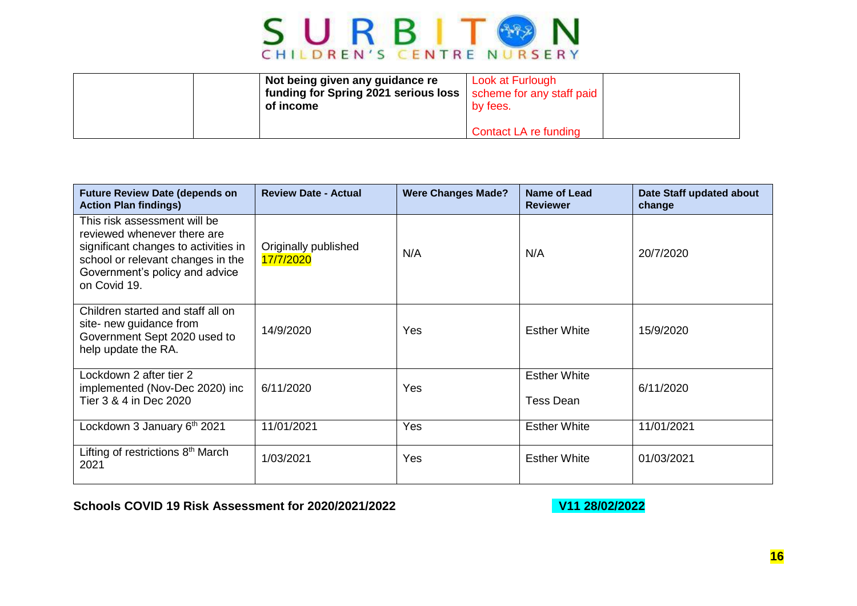

| Not being given any guidance re<br>funding for Spring 2021 serious loss  <br>of income | Look at Furlough<br>scheme for any staff paid<br>by fees. |  |
|----------------------------------------------------------------------------------------|-----------------------------------------------------------|--|
|                                                                                        | Contact LA re funding                                     |  |

| <b>Future Review Date (depends on</b><br><b>Action Plan findings)</b>                                                                                                                      | <b>Review Date - Actual</b>       | <b>Were Changes Made?</b> | Name of Lead<br><b>Reviewer</b>  | Date Staff updated about<br>change |
|--------------------------------------------------------------------------------------------------------------------------------------------------------------------------------------------|-----------------------------------|---------------------------|----------------------------------|------------------------------------|
| This risk assessment will be<br>reviewed whenever there are<br>significant changes to activities in<br>school or relevant changes in the<br>Government's policy and advice<br>on Covid 19. | Originally published<br>17/7/2020 | N/A                       | N/A                              | 20/7/2020                          |
| Children started and staff all on<br>site- new guidance from<br>Government Sept 2020 used to<br>help update the RA.                                                                        | 14/9/2020                         | Yes                       | <b>Esther White</b>              | 15/9/2020                          |
| Lockdown 2 after tier 2<br>implemented (Nov-Dec 2020) inc<br>Tier 3 & 4 in Dec 2020                                                                                                        | 6/11/2020                         | Yes                       | <b>Esther White</b><br>Tess Dean | 6/11/2020                          |
| Lockdown 3 January 6th 2021                                                                                                                                                                | 11/01/2021                        | <b>Yes</b>                | <b>Esther White</b>              | 11/01/2021                         |
| Lifting of restrictions 8 <sup>th</sup> March<br>2021                                                                                                                                      | 1/03/2021                         | <b>Yes</b>                | <b>Esther White</b>              | 01/03/2021                         |